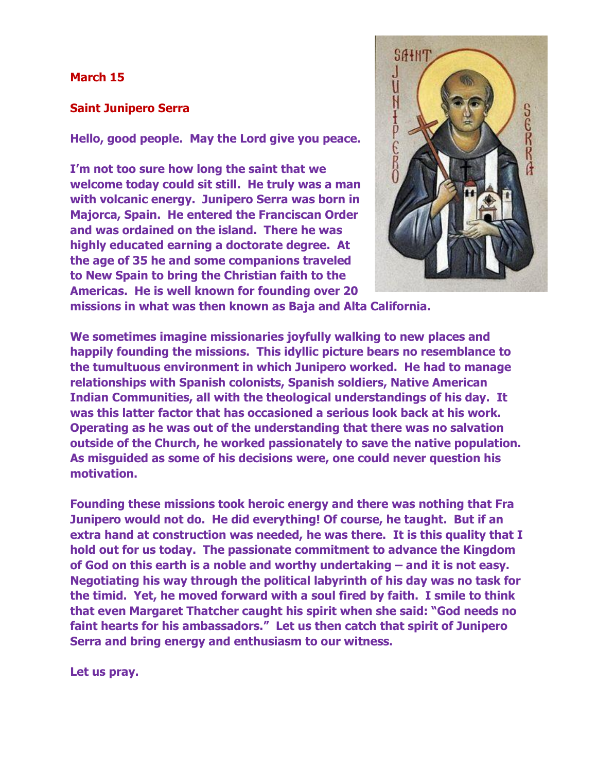## **March 15**

## **Saint Junipero Serra**

**Hello, good people. May the Lord give you peace.**

**I'm not too sure how long the saint that we welcome today could sit still. He truly was a man with volcanic energy. Junipero Serra was born in Majorca, Spain. He entered the Franciscan Order and was ordained on the island. There he was highly educated earning a doctorate degree. At the age of 35 he and some companions traveled to New Spain to bring the Christian faith to the Americas. He is well known for founding over 20** 



**missions in what was then known as Baja and Alta California.**

**We sometimes imagine missionaries joyfully walking to new places and happily founding the missions. This idyllic picture bears no resemblance to the tumultuous environment in which Junipero worked. He had to manage relationships with Spanish colonists, Spanish soldiers, Native American Indian Communities, all with the theological understandings of his day. It was this latter factor that has occasioned a serious look back at his work. Operating as he was out of the understanding that there was no salvation outside of the Church, he worked passionately to save the native population. As misguided as some of his decisions were, one could never question his motivation.** 

**Founding these missions took heroic energy and there was nothing that Fra Junipero would not do. He did everything! Of course, he taught. But if an extra hand at construction was needed, he was there. It is this quality that I hold out for us today. The passionate commitment to advance the Kingdom of God on this earth is a noble and worthy undertaking – and it is not easy. Negotiating his way through the political labyrinth of his day was no task for the timid. Yet, he moved forward with a soul fired by faith. I smile to think that even Margaret Thatcher caught his spirit when she said: "God needs no faint hearts for his ambassadors." Let us then catch that spirit of Junipero Serra and bring energy and enthusiasm to our witness.**

**Let us pray.**